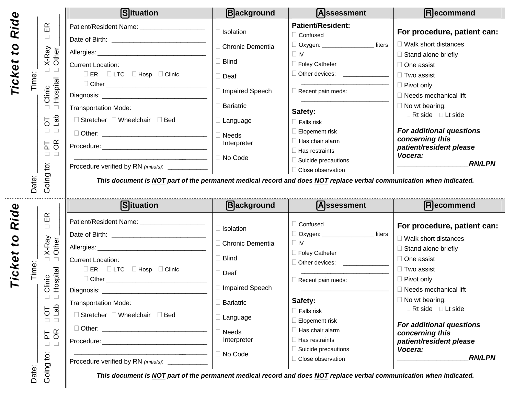|                       |                                                                                                                                                                  | <b>Situation</b>                                                                                                                | <b>B</b> ackground          | Assessment                                                                                                          | Recommend                                                                                                                           |
|-----------------------|------------------------------------------------------------------------------------------------------------------------------------------------------------------|---------------------------------------------------------------------------------------------------------------------------------|-----------------------------|---------------------------------------------------------------------------------------------------------------------|-------------------------------------------------------------------------------------------------------------------------------------|
| Ride                  | $\mathbb{E}$                                                                                                                                                     | Patient/Resident Name: __________________                                                                                       | $\Box$ Isolation            | <b>Patient/Resident:</b><br>$\Box$ Confused                                                                         | For procedure, patient can:                                                                                                         |
| $\mathbf{c}$          | $\Box$<br>X-Ray<br>Other<br>$\Box$ $\Box$<br>ime:<br>E<br>Hospital<br>Clinic<br>$\square$ $\square$<br>$1$<br>$\overline{5}$<br>$\Box$ $\Box$<br><b>PT</b><br>OR |                                                                                                                                 | □ Chronic Dementia          | □ Oxygen: ___________________ liters                                                                                | $\Box$ Walk short distances                                                                                                         |
| ₩                     |                                                                                                                                                                  | <b>Current Location:</b>                                                                                                        | $\Box$ Blind                | $\Box$ IV<br>□ Foley Catheter                                                                                       | $\Box$ Stand alone briefly<br>$\Box$ One assist                                                                                     |
| Ticke                 |                                                                                                                                                                  | $\Box$ ER $\Box$ LTC $\Box$ Hosp $\Box$ Clinic                                                                                  | $\Box$ Deaf                 | □ Other devices: _____________                                                                                      | $\Box$ Two assist                                                                                                                   |
|                       |                                                                                                                                                                  |                                                                                                                                 | □ Impaired Speech           | $\Box$ Recent pain meds:                                                                                            | $\Box$ Pivot only<br>$\Box$ Needs mechanical lift                                                                                   |
|                       |                                                                                                                                                                  | Transportation Mode:                                                                                                            | $\Box$ Bariatric            | Safety:                                                                                                             | $\Box$ No wt bearing:                                                                                                               |
|                       |                                                                                                                                                                  | □ Stretcher □ Wheelchair □ Bed                                                                                                  | $\Box$ Language             | $\Box$ Falls risk                                                                                                   | $\Box$ Rt side $\Box$ Lt side<br>For additional questions<br>concerning this<br>patient/resident please<br>Vocera:<br><b>RN/LPN</b> |
|                       |                                                                                                                                                                  |                                                                                                                                 | $\Box$ Needs<br>Interpreter | $\Box$ Elopement risk<br>$\Box$ Has chair alarm                                                                     |                                                                                                                                     |
|                       | $\Box$ $\Box$                                                                                                                                                    | the control of the control of the control of the control of the control of the control of                                       | □ No Code                   | $\Box$ Has restraints<br>$\Box$ Suicide precautions                                                                 |                                                                                                                                     |
| Date:                 | Going to:                                                                                                                                                        | Procedure verified by RN (initials): ____________                                                                               |                             | □ Close observation                                                                                                 |                                                                                                                                     |
|                       |                                                                                                                                                                  | <b>S</b> ituation                                                                                                               | <b>B</b> ackground          | <b>A</b> ssessment                                                                                                  | Recommend                                                                                                                           |
| Ride                  | $\mathbb{E}$<br>$\Box$<br>X-Ray<br>Other                                                                                                                         |                                                                                                                                 | $\Box$ Isolation            | $\Box$ Confused                                                                                                     | For procedure, patient can:                                                                                                         |
| $\mathbf{c}$          |                                                                                                                                                                  |                                                                                                                                 | □ Chronic Dementia          | □ Oxygen: ___________________<br>liters<br>$\Box$ IV                                                                | $\Box$ Walk short distances<br>$\Box$ Stand alone briefly                                                                           |
| ₩                     | $\square$ $\square$                                                                                                                                              | <b>Current Location:</b>                                                                                                        | $\Box$ Blind                | □ Foley Catheter<br>Other devices: ___________                                                                      | $\Box$ One assist                                                                                                                   |
| <b>Ticke</b><br>Time: | Hospital                                                                                                                                                         | $\Box$ ER $\Box$ LTC $\Box$ Hosp $\Box$ Clinic                                                                                  | $\square$ Deaf              | $\Box$ Recent pain meds:                                                                                            | $\Box$ Two assist<br>$\Box$ Pivot only                                                                                              |
|                       | Clinic                                                                                                                                                           |                                                                                                                                 | □ Impaired Speech           |                                                                                                                     | $\Box$ Needs mechanical lift                                                                                                        |
|                       | a <sub>l</sub>                                                                                                                                                   | <b>Transportation Mode:</b>                                                                                                     | <b>Bariatric</b>            | Safety:                                                                                                             | $\square$ No wt bearing:<br>$\Box$ Rt side $\Box$ Lt side                                                                           |
|                       | $\overline{C}$<br>$\Box$<br>$\Box$                                                                                                                               | □ Stretcher □ Wheelchair □ Bed                                                                                                  | $\Box$ Language             | $\Box$ Falls risk<br>$\Box$ Elopement risk                                                                          | <b>For additional questions</b>                                                                                                     |
|                       | <b>PT</b><br>OR                                                                                                                                                  | $\Box$ Other:<br>Procedure: The contract of the contract of the contract of the contract of the contract of the contract of the | $\Box$ Needs<br>Interpreter | $\Box$ Has chair alarm<br>$\Box$ Has restraints                                                                     | concerning this<br>patient/resident please                                                                                          |
|                       | $\Box$<br>$\Box$<br>$\ddot{\mathrm{o}}$                                                                                                                          | Procedure verified by RN (initials): ____________                                                                               | □ No Code                   | $\Box$ Suicide precautions<br>□ Close observation                                                                   | Vocera:<br><b>RN/LPN</b>                                                                                                            |
| Date:                 | Going                                                                                                                                                            |                                                                                                                                 |                             | This document is NOT part of the permanent medical record and does NOT replace verbal communication when indicated. |                                                                                                                                     |